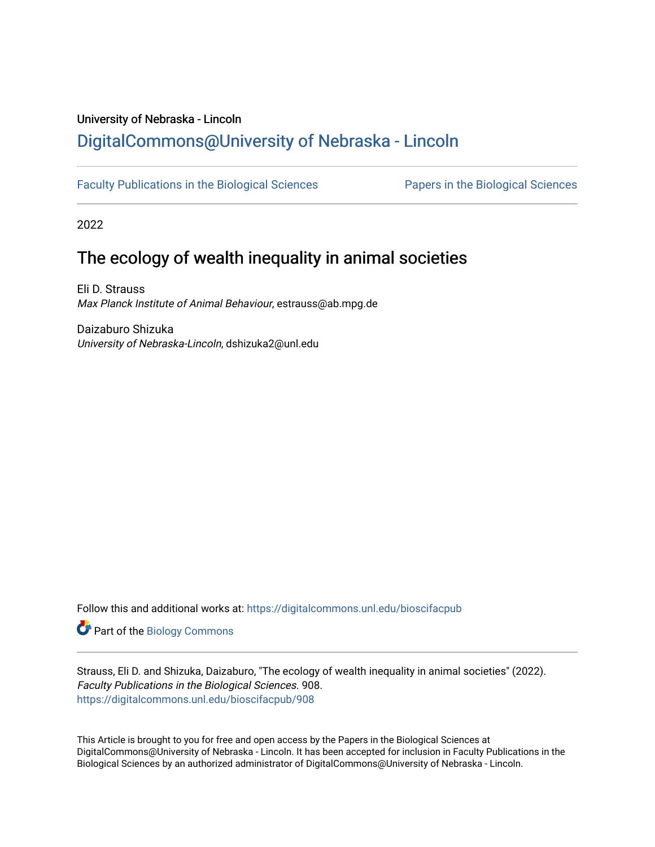# University of Nebraska - Lincoln [DigitalCommons@University of Nebraska - Lincoln](https://digitalcommons.unl.edu/)

[Faculty Publications in the Biological Sciences](https://digitalcommons.unl.edu/bioscifacpub) [Papers in the Biological Sciences](https://digitalcommons.unl.edu/bioscipapers) 

2022

# The ecology of wealth inequality in animal societies

Eli D. Strauss Max Planck Institute of Animal Behaviour, estrauss@ab.mpg.de

Daizaburo Shizuka University of Nebraska-Lincoln, dshizuka2@unl.edu

Follow this and additional works at: [https://digitalcommons.unl.edu/bioscifacpub](https://digitalcommons.unl.edu/bioscifacpub?utm_source=digitalcommons.unl.edu%2Fbioscifacpub%2F908&utm_medium=PDF&utm_campaign=PDFCoverPages) 

**Part of the Biology Commons** 

Strauss, Eli D. and Shizuka, Daizaburo, "The ecology of wealth inequality in animal societies" (2022). Faculty Publications in the Biological Sciences. 908. [https://digitalcommons.unl.edu/bioscifacpub/908](https://digitalcommons.unl.edu/bioscifacpub/908?utm_source=digitalcommons.unl.edu%2Fbioscifacpub%2F908&utm_medium=PDF&utm_campaign=PDFCoverPages) 

This Article is brought to you for free and open access by the Papers in the Biological Sciences at DigitalCommons@University of Nebraska - Lincoln. It has been accepted for inclusion in Faculty Publications in the Biological Sciences by an authorized administrator of DigitalCommons@University of Nebraska - Lincoln.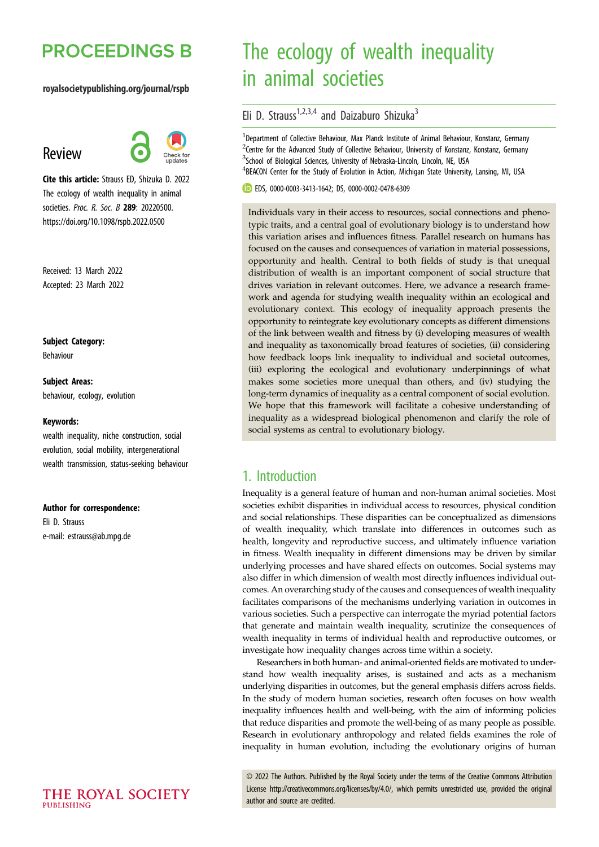# **PROCEEDINGS B**

#### royalsocietypublishing.org/journal/rspb

## Review



Cite this article: Strauss ED, Shizuka D. 2022 The ecology of wealth inequality in animal societies. Proc. R. Soc. B 289: 20220500. https://doi.org/10.1098/rspb.2022.0500

Received: 13 March 2022 Accepted: 23 March 2022

Subject Category: Behaviour

Subject Areas: behaviour, ecology, evolution

#### Keywords:

wealth inequality, niche construction, social evolution, social mobility, intergenerational wealth transmission, status-seeking behaviour

#### Author for correspondence:

Eli D. Strauss e-mail: [estrauss@ab.mpg.de](mailto:estrauss@ab.mpg.de)

# The ecology of wealth inequality in animal societies

Eli D. Strauss<sup>1,2,3,4</sup> and Daizaburo Shizuka<sup>3</sup>

<sup>1</sup>Department of Collective Behaviour, Max Planck Institute of Animal Behaviour, Konstanz, Germany <sup>2</sup> Centre for the Advanced Study of Collective Behaviour, University of Konstanz, Konstanz, Germany <sup>3</sup>School of Biological Sciences, University of Nebraska-Lincoln, Lincoln, NE, USA <sup>4</sup>BEACON Center for the Study of Evolution in Action, Michigan State University, Lansing, MI, USA

EDS, [0000-0003-3413-1642;](http://orcid.org/0000-0003-3413-1642) DS, [0000-0002-0478-6309](http://orcid.org/0000-0002-0478-6309)

Individuals vary in their access to resources, social connections and phenotypic traits, and a central goal of evolutionary biology is to understand how this variation arises and influences fitness. Parallel research on humans has focused on the causes and consequences of variation in material possessions, opportunity and health. Central to both fields of study is that unequal distribution of wealth is an important component of social structure that drives variation in relevant outcomes. Here, we advance a research framework and agenda for studying wealth inequality within an ecological and evolutionary context. This ecology of inequality approach presents the opportunity to reintegrate key evolutionary concepts as different dimensions of the link between wealth and fitness by (i) developing measures of wealth and inequality as taxonomically broad features of societies, (ii) considering how feedback loops link inequality to individual and societal outcomes, (iii) exploring the ecological and evolutionary underpinnings of what makes some societies more unequal than others, and (iv) studying the long-term dynamics of inequality as a central component of social evolution. We hope that this framework will facilitate a cohesive understanding of inequality as a widespread biological phenomenon and clarify the role of social systems as central to evolutionary biology.

### 1. Introduction

Inequality is a general feature of human and non-human animal societies. Most societies exhibit disparities in individual access to resources, physical condition and social relationships. These disparities can be conceptualized as dimensions of wealth inequality, which translate into differences in outcomes such as health, longevity and reproductive success, and ultimately influence variation in fitness. Wealth inequality in different dimensions may be driven by similar underlying processes and have shared effects on outcomes. Social systems may also differ in which dimension of wealth most directly influences individual outcomes. An overarching study of the causes and consequences of wealth inequality facilitates comparisons of the mechanisms underlying variation in outcomes in various societies. Such a perspective can interrogate the myriad potential factors that generate and maintain wealth inequality, scrutinize the consequences of wealth inequality in terms of individual health and reproductive outcomes, or investigate how inequality changes across time within a society.

Researchers in both human- and animal-oriented fields are motivated to understand how wealth inequality arises, is sustained and acts as a mechanism underlying disparities in outcomes, but the general emphasis differs across fields. In the study of modern human societies, research often focuses on how wealth inequality influences health and well-being, with the aim of informing policies that reduce disparities and promote the well-being of as many people as possible. Research in evolutionary anthropology and related fields examines the role of inequality in human evolution, including the evolutionary origins of human

© 2022 The Authors. Published by the Royal Society under the terms of the Creative Commons Attribution License<http://creativecommons.org/licenses/by/4.0/>, which permits unrestricted use, provided the original author and source are credited.

THE ROYAL SOCIETY PURLISHING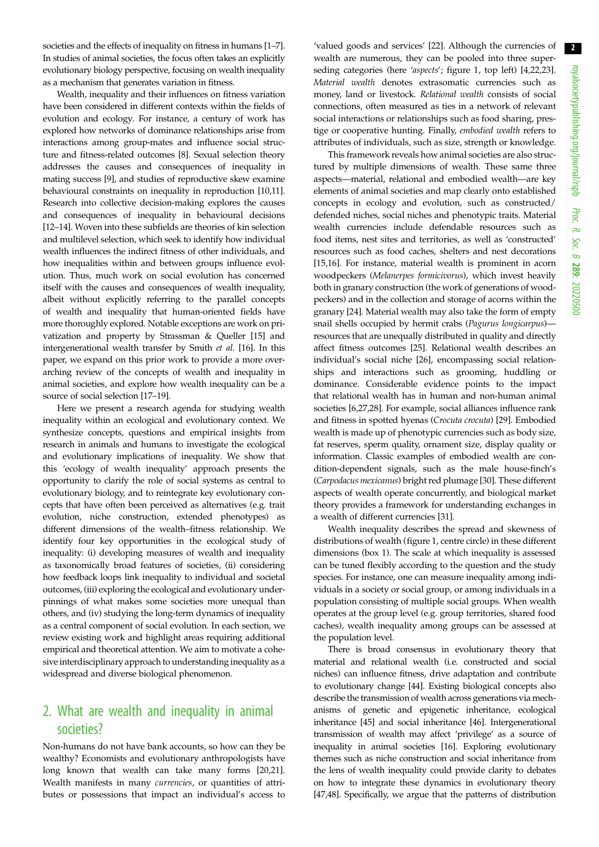societies and the effects of inequality on fitness in humans [\[1](#page-6-0)–[7](#page-7-0)]. In studies of animal societies, the focus often takes an explicitly evolutionary biology perspective, focusing on wealth inequality as a mechanism that generates variation in fitness.

Wealth, inequality and their influences on fitness variation have been considered in different contexts within the fields of evolution and ecology. For instance, a century of work has explored how networks of dominance relationships arise from interactions among group-mates and influence social structure and fitness-related outcomes [\[8](#page-7-0)]. Sexual selection theory addresses the causes and consequences of inequality in mating success [\[9\]](#page-7-0), and studies of reproductive skew examine behavioural constraints on inequality in reproduction [\[10,11](#page-7-0)]. Research into collective decision-making explores the causes and consequences of inequality in behavioural decisions [\[12](#page-7-0)–[14](#page-7-0)]. Woven into these subfields are theories of kin selection and multilevel selection, which seek to identify how individual wealth influences the indirect fitness of other individuals, and how inequalities within and between groups influence evolution. Thus, much work on social evolution has concerned itself with the causes and consequences of wealth inequality, albeit without explicitly referring to the parallel concepts of wealth and inequality that human-oriented fields have more thoroughly explored. Notable exceptions are work on privatization and property by Strassman & Queller [\[15\]](#page-7-0) and intergenerational wealth transfer by Smith et al. [\[16\]](#page-7-0). In this paper, we expand on this prior work to provide a more overarching review of the concepts of wealth and inequality in animal societies, and explore how wealth inequality can be a source of social selection [[17](#page-7-0)–[19\]](#page-7-0).

Here we present a research agenda for studying wealth inequality within an ecological and evolutionary context. We synthesize concepts, questions and empirical insights from research in animals and humans to investigate the ecological and evolutionary implications of inequality. We show that this 'ecology of wealth inequality' approach presents the opportunity to clarify the role of social systems as central to evolutionary biology, and to reintegrate key evolutionary concepts that have often been perceived as alternatives (e.g. trait evolution, niche construction, extended phenotypes) as different dimensions of the wealth–fitness relationship. We identify four key opportunities in the ecological study of inequality: (i) developing measures of wealth and inequality as taxonomically broad features of societies, (ii) considering how feedback loops link inequality to individual and societal outcomes, (iii) exploring the ecological and evolutionary underpinnings of what makes some societies more unequal than others, and (iv) studying the long-term dynamics of inequality as a central component of social evolution. In each section, we review existing work and highlight areas requiring additional empirical and theoretical attention. We aim to motivate a cohesive interdisciplinary approach to understanding inequality as a widespread and diverse biological phenomenon.

## 2. What are wealth and inequality in animal societies?

Non-humans do not have bank accounts, so how can they be wealthy? Economists and evolutionary anthropologists have long known that wealth can take many forms [\[20,21](#page-7-0)]. Wealth manifests in many currencies, or quantities of attributes or possessions that impact an individual's access to

'valued goods and services' [[22\]](#page-7-0). Although the currencies of wealth are numerous, they can be pooled into three superseding categories (here 'aspects'; [figure 1,](#page-3-0) top left) [[4,22](#page-7-0),[23\]](#page-7-0). Material wealth denotes extrasomatic currencies such as money, land or livestock. Relational wealth consists of social connections, often measured as ties in a network of relevant social interactions or relationships such as food sharing, prestige or cooperative hunting. Finally, embodied wealth refers to attributes of individuals, such as size, strength or knowledge.

This framework reveals how animal societies are also structured by multiple dimensions of wealth. These same three aspects—material, relational and embodied wealth—are key elements of animal societies and map clearly onto established concepts in ecology and evolution, such as constructed/ defended niches, social niches and phenotypic traits. Material wealth currencies include defendable resources such as food items, nest sites and territories, as well as 'constructed' resources such as food caches, shelters and nest decorations [[15,16\]](#page-7-0). For instance, material wealth is prominent in acorn woodpeckers (Melanerpes formicivorus), which invest heavily both in granary construction (the work of generations of woodpeckers) and in the collection and storage of acorns within the granary [\[24](#page-7-0)]. Material wealth may also take the form of empty snail shells occupied by hermit crabs (Pagurus longicarpus) resources that are unequally distributed in quality and directly affect fitness outcomes [[25\]](#page-7-0). Relational wealth describes an individual's social niche [[26](#page-7-0)], encompassing social relationships and interactions such as grooming, huddling or dominance. Considerable evidence points to the impact that relational wealth has in human and non-human animal societies [[6,27,28](#page-7-0)]. For example, social alliances influence rank and fitness in spotted hyenas (Crocuta crocuta) [[29\]](#page-7-0). Embodied wealth is made up of phenotypic currencies such as body size, fat reserves, sperm quality, ornament size, display quality or information. Classic examples of embodied wealth are condition-dependent signals, such as the male house-finch's (Carpodacus mexicanus) bright red plumage [[30\]](#page-7-0). These different aspects of wealth operate concurrently, and biological market theory provides a framework for understanding exchanges in a wealth of different currencies [\[31\]](#page-7-0).

Wealth inequality describes the spread and skewness of distributions of wealth ([figure 1,](#page-3-0) centre circle) in these different dimensions [\(box 1](#page-3-0)). The scale at which inequality is assessed can be tuned flexibly according to the question and the study species. For instance, one can measure inequality among individuals in a society or social group, or among individuals in a population consisting of multiple social groups. When wealth operates at the group level (e.g. group territories, shared food caches), wealth inequality among groups can be assessed at the population level.

There is broad consensus in evolutionary theory that material and relational wealth (i.e. constructed and social niches) can influence fitness, drive adaptation and contribute to evolutionary change [[44](#page-7-0)]. Existing biological concepts also describe the transmission of wealth across generations via mechanisms of genetic and epigenetic inheritance, ecological inheritance [\[45\]](#page-7-0) and social inheritance [[46\]](#page-7-0). Intergenerational transmission of wealth may affect 'privilege' as a source of inequality in animal societies [\[16\]](#page-7-0). Exploring evolutionary themes such as niche construction and social inheritance from the lens of wealth inequality could provide clarity to debates on how to integrate these dynamics in evolutionary theory [[47,48](#page-7-0)]. Specifically, we argue that the patterns of distribution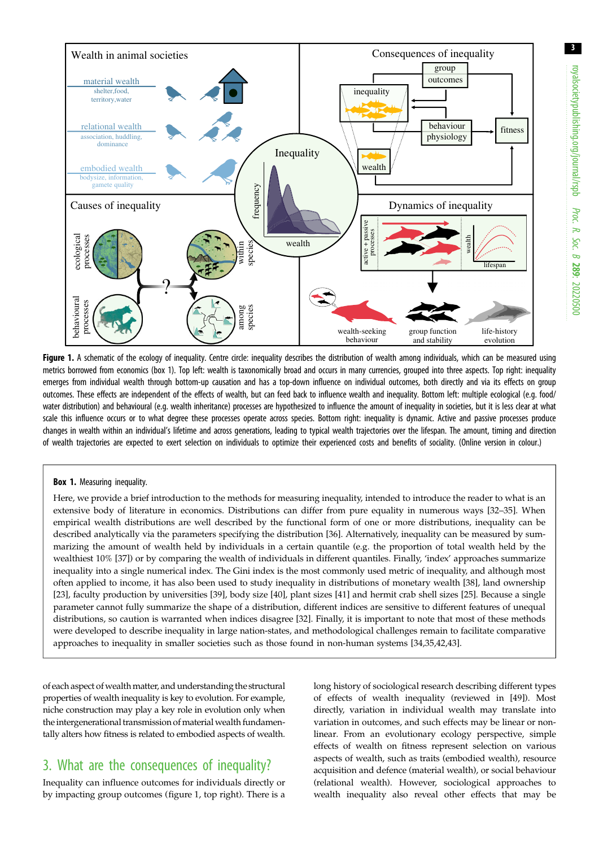<span id="page-3-0"></span>

Figure 1. A schematic of the ecology of inequality. Centre circle: inequality describes the distribution of wealth among individuals, which can be measured using metrics borrowed from economics (box 1). Top left: wealth is taxonomically broad and occurs in many currencies, grouped into three aspects. Top right: inequality emerges from individual wealth through bottom-up causation and has a top-down influence on individual outcomes, both directly and via its effects on group outcomes. These effects are independent of the effects of wealth, but can feed back to influence wealth and inequality. Bottom left: multiple ecological (e.g. food/ water distribution) and behavioural (e.g. wealth inheritance) processes are hypothesized to influence the amount of inequality in societies, but it is less clear at what scale this influence occurs or to what degree these processes operate across species. Bottom right: inequality is dynamic. Active and passive processes produce changes in wealth within an individual's lifetime and across generations, leading to typical wealth trajectories over the lifespan. The amount, timing and direction of wealth trajectories are expected to exert selection on individuals to optimize their experienced costs and benefits of sociality. (Online version in colour.)

#### Box 1. Measuring inequality.

Here, we provide a brief introduction to the methods for measuring inequality, intended to introduce the reader to what is an extensive body of literature in economics. Distributions can differ from pure equality in numerous ways [\[32](#page-7-0)–[35\]](#page-7-0). When empirical wealth distributions are well described by the functional form of one or more distributions, inequality can be described analytically via the parameters specifying the distribution [[36\]](#page-7-0). Alternatively, inequality can be measured by summarizing the amount of wealth held by individuals in a certain quantile (e.g. the proportion of total wealth held by the wealthiest 10% [\[37](#page-7-0)]) or by comparing the wealth of individuals in different quantiles. Finally, 'index' approaches summarize inequality into a single numerical index. The Gini index is the most commonly used metric of inequality, and although most often applied to income, it has also been used to study inequality in distributions of monetary wealth [\[38](#page-7-0)], land ownership [[23\]](#page-7-0), faculty production by universities [[39\]](#page-7-0), body size [[40\]](#page-7-0), plant sizes [[41\]](#page-7-0) and hermit crab shell sizes [\[25](#page-7-0)]. Because a single parameter cannot fully summarize the shape of a distribution, different indices are sensitive to different features of unequal distributions, so caution is warranted when indices disagree [\[32](#page-7-0)]. Finally, it is important to note that most of these methods were developed to describe inequality in large nation-states, and methodological challenges remain to facilitate comparative approaches to inequality in smaller societies such as those found in non-human systems [\[34,35](#page-7-0),[42,43](#page-7-0)].

of each aspect of wealth matter, and understanding the structural properties of wealth inequality is key to evolution. For example, niche construction may play a key role in evolution only when the intergenerational transmission of material wealth fundamentally alters how fitness is related to embodied aspects of wealth.

## 3. What are the consequences of inequality?

Inequality can influence outcomes for individuals directly or by impacting group outcomes (figure 1, top right). There is a long history of sociological research describing different types of effects of wealth inequality (reviewed in [[49\]](#page-7-0)). Most directly, variation in individual wealth may translate into variation in outcomes, and such effects may be linear or nonlinear. From an evolutionary ecology perspective, simple effects of wealth on fitness represent selection on various aspects of wealth, such as traits (embodied wealth), resource acquisition and defence (material wealth), or social behaviour (relational wealth). However, sociological approaches to wealth inequality also reveal other effects that may be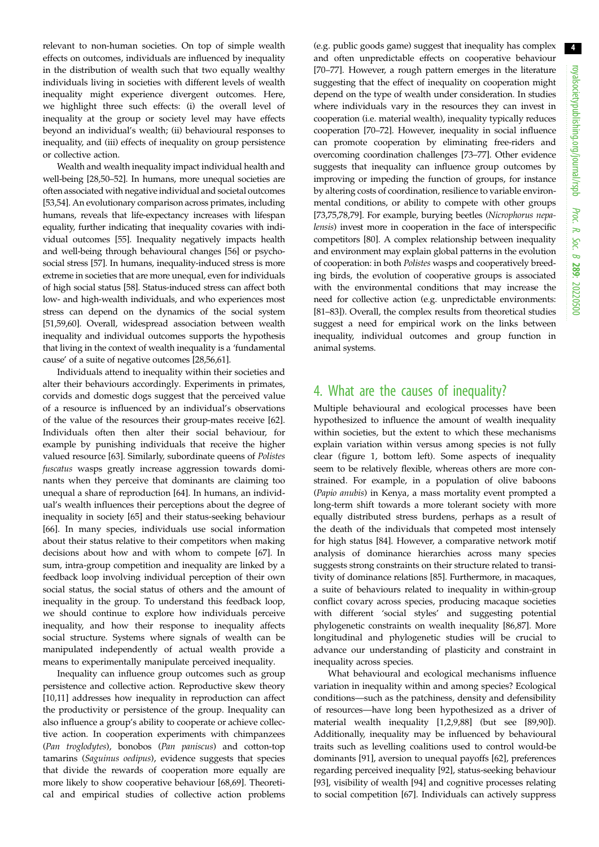relevant to non-human societies. On top of simple wealth effects on outcomes, individuals are influenced by inequality in the distribution of wealth such that two equally wealthy individuals living in societies with different levels of wealth inequality might experience divergent outcomes. Here, we highlight three such effects: (i) the overall level of inequality at the group or society level may have effects beyond an individual's wealth; (ii) behavioural responses to inequality, and (iii) effects of inequality on group persistence or collective action.

Wealth and wealth inequality impact individual health and well-being [\[28,50](#page-7-0)–[52](#page-7-0)]. In humans, more unequal societies are often associated with negative individual and societal outcomes [\[53](#page-7-0)[,54](#page-8-0)]. An evolutionary comparison across primates, including humans, reveals that life-expectancy increases with lifespan equality, further indicating that inequality covaries with individual outcomes [\[55\]](#page-8-0). Inequality negatively impacts health and well-being through behavioural changes [\[56](#page-8-0)] or psychosocial stress [\[57\]](#page-8-0). In humans, inequality-induced stress is more extreme in societies that are more unequal, even for individuals of high social status [[58](#page-8-0)]. Status-induced stress can affect both low- and high-wealth individuals, and who experiences most stress can depend on the dynamics of the social system [\[51](#page-7-0)[,59,60](#page-8-0)]. Overall, widespread association between wealth inequality and individual outcomes supports the hypothesis that living in the context of wealth inequality is a 'fundamental cause' of a suite of negative outcomes [\[28,](#page-7-0)[56,61\]](#page-8-0).

Individuals attend to inequality within their societies and alter their behaviours accordingly. Experiments in primates, corvids and domestic dogs suggest that the perceived value of a resource is influenced by an individual's observations of the value of the resources their group-mates receive [\[62](#page-8-0)]. Individuals often then alter their social behaviour, for example by punishing individuals that receive the higher valued resource [\[63](#page-8-0)]. Similarly, subordinate queens of Polistes fuscatus wasps greatly increase aggression towards dominants when they perceive that dominants are claiming too unequal a share of reproduction [\[64](#page-8-0)]. In humans, an individual's wealth influences their perceptions about the degree of inequality in society [[65\]](#page-8-0) and their status-seeking behaviour [\[66](#page-8-0)]. In many species, individuals use social information about their status relative to their competitors when making decisions about how and with whom to compete [[67\]](#page-8-0). In sum, intra-group competition and inequality are linked by a feedback loop involving individual perception of their own social status, the social status of others and the amount of inequality in the group. To understand this feedback loop, we should continue to explore how individuals perceive inequality, and how their response to inequality affects social structure. Systems where signals of wealth can be manipulated independently of actual wealth provide a means to experimentally manipulate perceived inequality.

Inequality can influence group outcomes such as group persistence and collective action. Reproductive skew theory [\[10](#page-7-0),[11](#page-7-0)] addresses how inequality in reproduction can affect the productivity or persistence of the group. Inequality can also influence a group's ability to cooperate or achieve collective action. In cooperation experiments with chimpanzees (Pan troglodytes), bonobos (Pan paniscus) and cotton-top tamarins (Saguinus oedipus), evidence suggests that species that divide the rewards of cooperation more equally are more likely to show cooperative behaviour [[68,69\]](#page-8-0). Theoretical and empirical studies of collective action problems (e.g. public goods game) suggest that inequality has complex and often unpredictable effects on cooperative behaviour [[70](#page-8-0)–[77](#page-8-0)]. However, a rough pattern emerges in the literature suggesting that the effect of inequality on cooperation might depend on the type of wealth under consideration. In studies where individuals vary in the resources they can invest in cooperation (i.e. material wealth), inequality typically reduces cooperation [\[70](#page-8-0)–[72\]](#page-8-0). However, inequality in social influence can promote cooperation by eliminating free-riders and overcoming coordination challenges [\[73](#page-8-0)–[77\]](#page-8-0). Other evidence suggests that inequality can influence group outcomes by improving or impeding the function of groups, for instance by altering costs of coordination, resilience to variable environmental conditions, or ability to compete with other groups [[73,75,78,79\]](#page-8-0). For example, burying beetles (Nicrophorus nepalensis) invest more in cooperation in the face of interspecific competitors [\[80](#page-8-0)]. A complex relationship between inequality and environment may explain global patterns in the evolution of cooperation: in both Polistes wasps and cooperatively breeding birds, the evolution of cooperative groups is associated with the environmental conditions that may increase the need for collective action (e.g. unpredictable environments: [[81](#page-8-0)–[83](#page-8-0)]). Overall, the complex results from theoretical studies suggest a need for empirical work on the links between inequality, individual outcomes and group function in animal systems.

### 4. What are the causes of inequality?

Multiple behavioural and ecological processes have been hypothesized to influence the amount of wealth inequality within societies, but the extent to which these mechanisms explain variation within versus among species is not fully clear [\(figure 1](#page-3-0), bottom left). Some aspects of inequality seem to be relatively flexible, whereas others are more constrained. For example, in a population of olive baboons (Papio anubis) in Kenya, a mass mortality event prompted a long-term shift towards a more tolerant society with more equally distributed stress burdens, perhaps as a result of the death of the individuals that competed most intensely for high status [[84\]](#page-8-0). However, a comparative network motif analysis of dominance hierarchies across many species suggests strong constraints on their structure related to transitivity of dominance relations [\[85](#page-8-0)]. Furthermore, in macaques, a suite of behaviours related to inequality in within-group conflict covary across species, producing macaque societies with different 'social styles' and suggesting potential phylogenetic constraints on wealth inequality [[86,87](#page-8-0)]. More longitudinal and phylogenetic studies will be crucial to advance our understanding of plasticity and constraint in inequality across species.

What behavioural and ecological mechanisms influence variation in inequality within and among species? Ecological conditions—such as the patchiness, density and defensibility of resources—have long been hypothesized as a driver of material wealth inequality [\[1,2](#page-6-0),[9](#page-7-0)[,88](#page-8-0)] (but see [\[89](#page-8-0),[90\]](#page-8-0)). Additionally, inequality may be influenced by behavioural traits such as levelling coalitions used to control would-be dominants [\[91\]](#page-8-0), aversion to unequal payoffs [\[62](#page-8-0)], preferences regarding perceived inequality [\[92](#page-8-0)], status-seeking behaviour [[93\]](#page-8-0), visibility of wealth [[94\]](#page-8-0) and cognitive processes relating to social competition [[67\]](#page-8-0). Individuals can actively suppress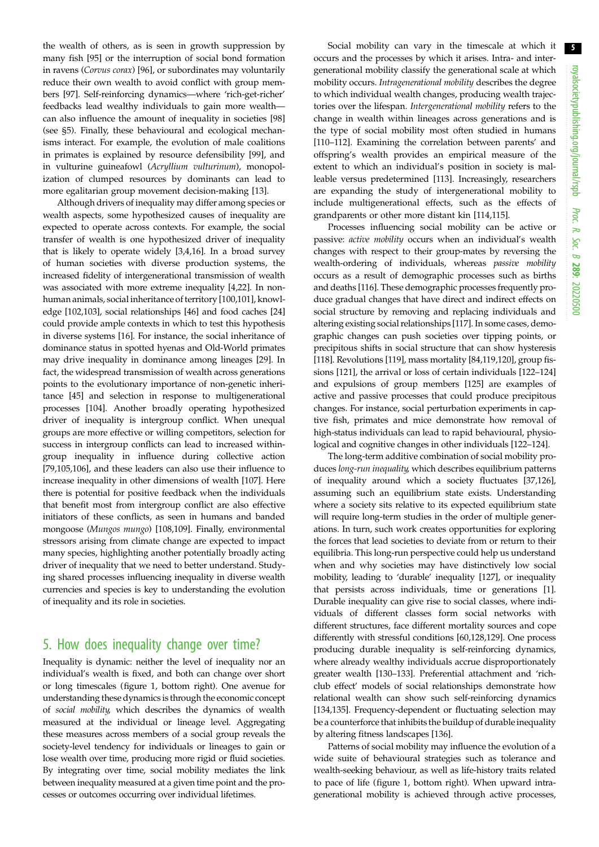the wealth of others, as is seen in growth suppression by many fish [\[95](#page-8-0)] or the interruption of social bond formation in ravens (Corvus corax) [[96\]](#page-8-0), or subordinates may voluntarily reduce their own wealth to avoid conflict with group members [[97\]](#page-8-0). Self-reinforcing dynamics—where 'rich-get-richer' feedbacks lead wealthy individuals to gain more wealth can also influence the amount of inequality in societies [[98\]](#page-8-0) (see §5). Finally, these behavioural and ecological mechanisms interact. For example, the evolution of male coalitions in primates is explained by resource defensibility [\[99](#page-8-0)], and in vulturine guineafowl (Acryllium vulturinum), monopolization of clumped resources by dominants can lead to more egalitarian group movement decision-making [\[13](#page-7-0)].

Although drivers of inequality may differ among species or wealth aspects, some hypothesized causes of inequality are expected to operate across contexts. For example, the social transfer of wealth is one hypothesized driver of inequality that is likely to operate widely [\[3,](#page-6-0)[4](#page-7-0),[16](#page-7-0)]. In a broad survey of human societies with diverse production systems, the increased fidelity of intergenerational transmission of wealth was associated with more extreme inequality [[4,22](#page-7-0)]. In nonhuman animals, social inheritance of territory [\[100,101](#page-8-0)], knowledge [\[102,103](#page-9-0)], social relationships [[46\]](#page-7-0) and food caches [[24\]](#page-7-0) could provide ample contexts in which to test this hypothesis in diverse systems [\[16](#page-7-0)]. For instance, the social inheritance of dominance status in spotted hyenas and Old-World primates may drive inequality in dominance among lineages [[29\]](#page-7-0). In fact, the widespread transmission of wealth across generations points to the evolutionary importance of non-genetic inheritance [\[45](#page-7-0)] and selection in response to multigenerational processes [\[104\]](#page-9-0). Another broadly operating hypothesized driver of inequality is intergroup conflict. When unequal groups are more effective or willing competitors, selection for success in intergroup conflicts can lead to increased withingroup inequality in influence during collective action [\[79](#page-8-0)[,105,106](#page-9-0)], and these leaders can also use their influence to increase inequality in other dimensions of wealth [\[107](#page-9-0)]. Here there is potential for positive feedback when the individuals that benefit most from intergroup conflict are also effective initiators of these conflicts, as seen in humans and banded mongoose (Mungos mungo) [\[108,109](#page-9-0)]. Finally, environmental stressors arising from climate change are expected to impact many species, highlighting another potentially broadly acting driver of inequality that we need to better understand. Studying shared processes influencing inequality in diverse wealth currencies and species is key to understanding the evolution of inequality and its role in societies.

## 5. How does inequality change over time?

Inequality is dynamic: neither the level of inequality nor an individual's wealth is fixed, and both can change over short or long timescales [\(figure 1](#page-3-0), bottom right). One avenue for understanding these dynamics is through the economic concept of social mobility, which describes the dynamics of wealth measured at the individual or lineage level. Aggregating these measures across members of a social group reveals the society-level tendency for individuals or lineages to gain or lose wealth over time, producing more rigid or fluid societies. By integrating over time, social mobility mediates the link between inequality measured at a given time point and the processes or outcomes occurring over individual lifetimes.

Social mobility can vary in the timescale at which it occurs and the processes by which it arises. Intra- and intergenerational mobility classify the generational scale at which mobility occurs. Intragenerational mobility describes the degree to which individual wealth changes, producing wealth trajectories over the lifespan. Intergenerational mobility refers to the change in wealth within lineages across generations and is the type of social mobility most often studied in humans [[110](#page-9-0)–[112](#page-9-0)]. Examining the correlation between parents' and offspring's wealth provides an empirical measure of the extent to which an individual's position in society is malleable versus predetermined [[113\]](#page-9-0). Increasingly, researchers are expanding the study of intergenerational mobility to include multigenerational effects, such as the effects of grandparents or other more distant kin [[114,115](#page-9-0)].

Processes influencing social mobility can be active or passive: active mobility occurs when an individual's wealth changes with respect to their group-mates by reversing the wealth-ordering of individuals, whereas passive mobility occurs as a result of demographic processes such as births and deaths [[116\]](#page-9-0). These demographic processes frequently produce gradual changes that have direct and indirect effects on social structure by removing and replacing individuals and altering existing social relationships [[117](#page-9-0)]. In some cases, demographic changes can push societies over tipping points, or precipitous shifts in social structure that can show hysteresis [[118\]](#page-9-0). Revolutions [[119\]](#page-9-0), mass mortality [[84](#page-8-0),[119,120](#page-9-0)], group fissions [\[121](#page-9-0)], the arrival or loss of certain individuals [[122](#page-9-0)–[124\]](#page-9-0) and expulsions of group members [[125](#page-9-0)] are examples of active and passive processes that could produce precipitous changes. For instance, social perturbation experiments in captive fish, primates and mice demonstrate how removal of high-status individuals can lead to rapid behavioural, physiological and cognitive changes in other individuals [[122](#page-9-0)–[124\]](#page-9-0).

The long-term additive combination of social mobility produces long-run inequality, which describes equilibrium patterns of inequality around which a society fluctuates [\[37](#page-7-0)[,126\]](#page-9-0), assuming such an equilibrium state exists. Understanding where a society sits relative to its expected equilibrium state will require long-term studies in the order of multiple generations. In turn, such work creates opportunities for exploring the forces that lead societies to deviate from or return to their equilibria. This long-run perspective could help us understand when and why societies may have distinctively low social mobility, leading to 'durable' inequality [\[127](#page-9-0)], or inequality that persists across individuals, time or generations [\[1\]](#page-6-0). Durable inequality can give rise to social classes, where individuals of different classes form social networks with different structures, face different mortality sources and cope differently with stressful conditions [[60,](#page-8-0)[128](#page-9-0),[129\]](#page-9-0). One process producing durable inequality is self-reinforcing dynamics, where already wealthy individuals accrue disproportionately greater wealth [[130](#page-9-0)–[133\]](#page-9-0). Preferential attachment and 'richclub effect' models of social relationships demonstrate how relational wealth can show such self-reinforcing dynamics [[134,135\]](#page-9-0). Frequency-dependent or fluctuating selection may be a counterforce that inhibits the buildup of durable inequality by altering fitness landscapes [[136](#page-9-0)].

Patterns of social mobility may influence the evolution of a wide suite of behavioural strategies such as tolerance and wealth-seeking behaviour, as well as life-history traits related to pace of life ([figure 1](#page-3-0), bottom right). When upward intragenerational mobility is achieved through active processes,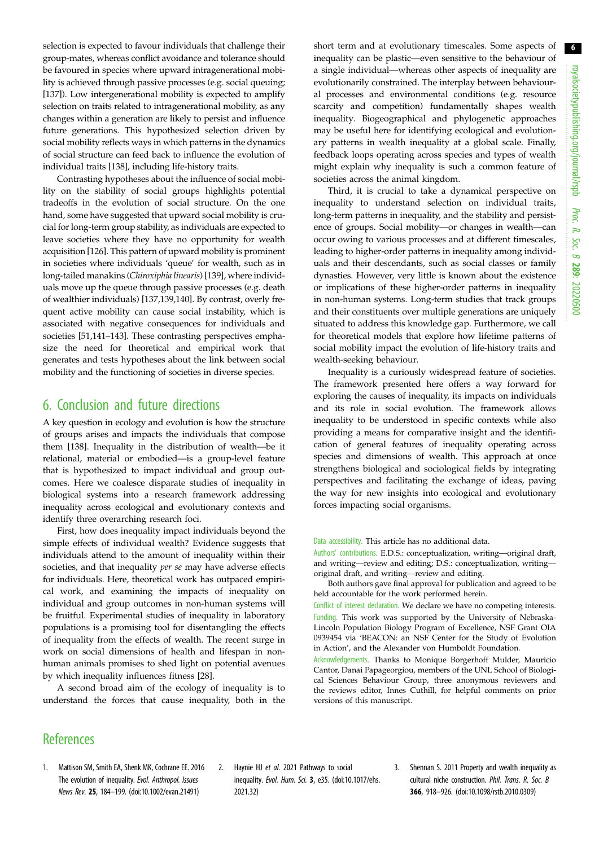<span id="page-6-0"></span>selection is expected to favour individuals that challenge their group-mates, whereas conflict avoidance and tolerance should be favoured in species where upward intragenerational mobility is achieved through passive processes (e.g. social queuing; [\[137\]](#page-9-0)). Low intergenerational mobility is expected to amplify selection on traits related to intragenerational mobility, as any changes within a generation are likely to persist and influence future generations. This hypothesized selection driven by social mobility reflects ways in which patterns in the dynamics of social structure can feed back to influence the evolution of individual traits [[138\]](#page-9-0), including life-history traits.

Contrasting hypotheses about the influence of social mobility on the stability of social groups highlights potential tradeoffs in the evolution of social structure. On the one hand, some have suggested that upward social mobility is crucial for long-term group stability, as individuals are expected to leave societies where they have no opportunity for wealth acquisition [\[126\]](#page-9-0). This pattern of upward mobility is prominent in societies where individuals 'queue' for wealth, such as in long-tailed manakins (Chiroxiphia linearis) [\[139\]](#page-9-0), where individuals move up the queue through passive processes (e.g. death of wealthier individuals) [[137,139,140](#page-9-0)]. By contrast, overly frequent active mobility can cause social instability, which is associated with negative consequences for individuals and societies [[51,](#page-7-0)[141](#page-9-0)–[143\]](#page-9-0). These contrasting perspectives emphasize the need for theoretical and empirical work that generates and tests hypotheses about the link between social mobility and the functioning of societies in diverse species.

#### 6. Conclusion and future directions

A key question in ecology and evolution is how the structure of groups arises and impacts the individuals that compose them [[138](#page-9-0)]. Inequality in the distribution of wealth—be it relational, material or embodied—is a group-level feature that is hypothesized to impact individual and group outcomes. Here we coalesce disparate studies of inequality in biological systems into a research framework addressing inequality across ecological and evolutionary contexts and identify three overarching research foci.

First, how does inequality impact individuals beyond the simple effects of individual wealth? Evidence suggests that individuals attend to the amount of inequality within their societies, and that inequality per se may have adverse effects for individuals. Here, theoretical work has outpaced empirical work, and examining the impacts of inequality on individual and group outcomes in non-human systems will be fruitful. Experimental studies of inequality in laboratory populations is a promising tool for disentangling the effects of inequality from the effects of wealth. The recent surge in work on social dimensions of health and lifespan in nonhuman animals promises to shed light on potential avenues by which inequality influences fitness [\[28](#page-7-0)].

A second broad aim of the ecology of inequality is to understand the forces that cause inequality, both in the short term and at evolutionary timescales. Some aspects of inequality can be plastic—even sensitive to the behaviour of a single individual—whereas other aspects of inequality are evolutionarily constrained. The interplay between behavioural processes and environmental conditions (e.g. resource scarcity and competition) fundamentally shapes wealth inequality. Biogeographical and phylogenetic approaches may be useful here for identifying ecological and evolutionary patterns in wealth inequality at a global scale. Finally, feedback loops operating across species and types of wealth might explain why inequality is such a common feature of societies across the animal kingdom.

Third, it is crucial to take a dynamical perspective on inequality to understand selection on individual traits, long-term patterns in inequality, and the stability and persistence of groups. Social mobility—or changes in wealth—can occur owing to various processes and at different timescales, leading to higher-order patterns in inequality among individuals and their descendants, such as social classes or family dynasties. However, very little is known about the existence or implications of these higher-order patterns in inequality in non-human systems. Long-term studies that track groups and their constituents over multiple generations are uniquely situated to address this knowledge gap. Furthermore, we call for theoretical models that explore how lifetime patterns of social mobility impact the evolution of life-history traits and wealth-seeking behaviour.

Inequality is a curiously widespread feature of societies. The framework presented here offers a way forward for exploring the causes of inequality, its impacts on individuals and its role in social evolution. The framework allows inequality to be understood in specific contexts while also providing a means for comparative insight and the identification of general features of inequality operating across species and dimensions of wealth. This approach at once strengthens biological and sociological fields by integrating perspectives and facilitating the exchange of ideas, paving the way for new insights into ecological and evolutionary forces impacting social organisms.

Data accessibility. This article has no additional data.

Authors' contributions. E.D.S.: conceptualization, writing—original draft, and writing—review and editing; D.S.: conceptualization, writing original draft, and writing—review and editing.

Both authors gave final approval for publication and agreed to be held accountable for the work performed herein.

Conflict of interest declaration. We declare we have no competing interests. Funding. This work was supported by the University of Nebraska-Lincoln Population Biology Program of Excellence, NSF Grant OIA 0939454 via 'BEACON: an NSF Center for the Study of Evolution in Action', and the Alexander von Humboldt Foundation.

Acknowledgements. Thanks to Monique Borgerhoff Mulder, Mauricio Cantor, Danai Papageorgiou, members of the UNL School of Biological Sciences Behaviour Group, three anonymous reviewers and the reviews editor, Innes Cuthill, for helpful comments on prior versions of this manuscript.

#### **References**

- 1. Mattison SM, Smith EA, Shenk MK, Cochrane EE. 2016 The evolution of inequality. Evol. Anthropol. Issues News Rev. 25, 184–199. [\(doi:10.1002/evan.21491\)](http://dx.doi.org/10.1002/evan.21491)
- 2. Haynie HJ et al. 2021 Pathways to social inequality. Evol. Hum. Sci. 3, e35. [\(doi:10.1017/ehs.](https://doi.org/10.1017/ehs.2021.32) [2021.32\)](https://doi.org/10.1017/ehs.2021.32)
- 3. Shennan S. 2011 Property and wealth inequality as cultural niche construction. Phil. Trans. R. Soc. B 366, 918–926. [\(doi:10.1098/rstb.2010.0309\)](https://doi.org/10.1098/rstb.2010.0309)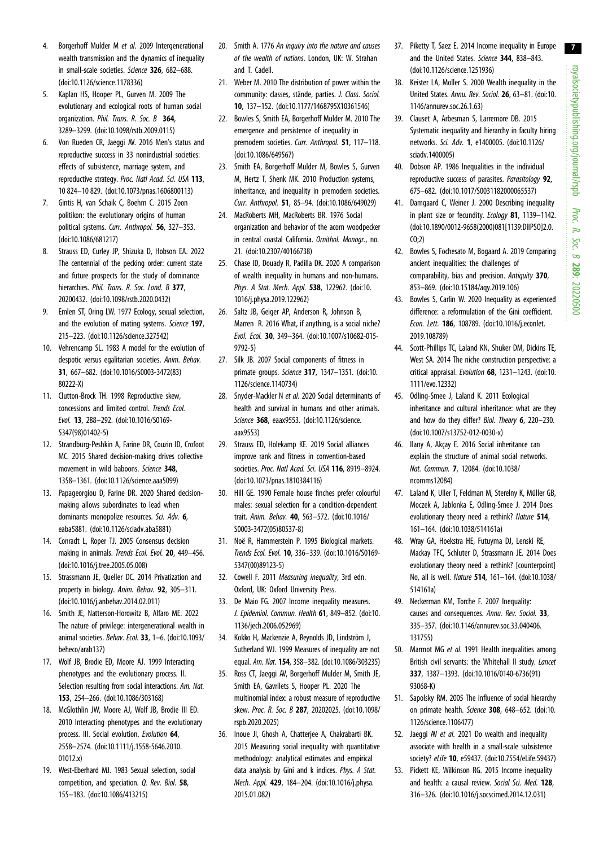- <span id="page-7-0"></span>4. Borgerhoff Mulder M et al. 2009 Intergenerational wealth transmission and the dynamics of inequality in small-scale societies. Science 326, 682–688. [\(doi:10.1126/science.1178336\)](https://doi.org/10.1126/science.1178336)
- 5. Kaplan HS, Hooper PL, Gurven M. 2009 The evolutionary and ecological roots of human social organization. Phil. Trans. R. Soc. B 364, 3289–3299. [\(doi:10.1098/rstb.2009.0115\)](https://doi.org/10.1098/rstb.2009.0115)
- 6. Von Rueden CR, Jaeggi AV. 2016 Men's status and reproductive success in 33 nonindustrial societies: effects of subsistence, marriage system, and reproductive strategy. Proc. Natl Acad. Sci. USA 113, 10 824–10 829. ([doi:10.1073/pnas.1606800113\)](https://doi.org/10.1073/pnas.1606800113)
- 7. Gintis H, van Schaik C, Boehm C. 2015 Zoon politikon: the evolutionary origins of human political systems. Curr. Anthropol. 56, 327–353. [\(doi:10.1086/681217](http://dx.doi.org/10.1086/681217))
- 8. Strauss ED, Curley JP, Shizuka D, Hobson EA. 2022 The centennial of the pecking order: current state and future prospects for the study of dominance hierarchies. Phil. Trans. R. Soc. Lond. B 377, 20200432. ([doi:10.1098/rstb.2020.0432](https://doi.org/10.1098/rstb.2020.0432))
- 9. Emlen ST, Oring LW. 1977 Ecology, sexual selection, and the evolution of mating systems. Science 197, 215–223. ([doi:10.1126/science.327542\)](http://dx.doi.org/10.1126/science.327542)
- 10. Vehrencamp SL. 1983 A model for the evolution of despotic versus egalitarian societies. Anim. Behav. 31, 667–682. ([doi:10.1016/S0003-3472\(83\)](http://dx.doi.org/10.1016/S0003-3472(83)80222-X) [80222-X\)](http://dx.doi.org/10.1016/S0003-3472(83)80222-X)
- 11. Clutton-Brock TH. 1998 Reproductive skew, concessions and limited control. Trends Ecol. Evol. 13, 288–292. [\(doi:10.1016/S0169-](http://dx.doi.org/10.1016/S0169-5347(98)01402-5) [5347\(98\)01402-5\)](http://dx.doi.org/10.1016/S0169-5347(98)01402-5)
- 12. Strandburg-Peshkin A, Farine DR, Couzin ID, Crofoot MC. 2015 Shared decision-making drives collective movement in wild baboons. Science 348, 1358–1361. [\(doi:10.1126/science.aaa5099](http://dx.doi.org/10.1126/science.aaa5099))
- 13. Papageorgiou D, Farine DR. 2020 Shared decisionmaking allows subordinates to lead when dominants monopolize resources. Sci. Adv. 6, eaba5881. ([doi:10.1126/sciadv.aba5881\)](https://doi.org/10.1126/sciadv.aba5881)
- 14. Conradt L, Roper TJ. 2005 Consensus decision making in animals. Trends Ecol. Evol. 20, 449–456. [\(doi:10.1016/j.tree.2005.05.008](http://dx.doi.org/10.1016/j.tree.2005.05.008))
- 15. Strassmann JE, Queller DC. 2014 Privatization and property in biology. Anim. Behav. 92, 305–311. [\(doi:10.1016/j.anbehav.2014.02.011\)](http://dx.doi.org/10.1016/j.anbehav.2014.02.011)
- 16. Smith JE, Natterson-Horowitz B, Alfaro ME. 2022 The nature of privilege: intergenerational wealth in animal societies. Behav. Ecol. 33, 1–6. ([doi:10.1093/](https://doi.org/10.1093/beheco/arab137) [beheco/arab137](https://doi.org/10.1093/beheco/arab137))
- 17. Wolf JB, Brodie ED, Moore AJ. 1999 Interacting phenotypes and the evolutionary process. II. Selection resulting from social interactions. Am. Nat. 153, 254–266. ([doi:10.1086/303168](http://dx.doi.org/10.1086/303168))
- 18. McGlothlin JW, Moore AJ, Wolf JB, Brodie III ED. 2010 Interacting phenotypes and the evolutionary process. III. Social evolution. Evolution 64. 2558–2574. [\(doi:10.1111/j.1558-5646.2010.](https://doi.org/10.1111/j.1558-5646.2010.01012.x) [01012.x\)](https://doi.org/10.1111/j.1558-5646.2010.01012.x)
- 19. West-Eberhard MJ. 1983 Sexual selection, social competition, and speciation. Q. Rev. Biol. 58, 155–183. ([doi:10.1086/413215\)](http://dx.doi.org/10.1086/413215)
- 20. Smith A. 1776 An inquiry into the nature and causes of the wealth of nations. London, UK: W. Strahan and T. Cadell.
- 21. Weber M. 2010 The distribution of power within the community: classes, stände, parties. J. Class. Sociol. 10, 137–152. ([doi:10.1177/1468795X10361546](https://doi.org/10.1177/1468795X10361546))
- 22. Bowles S, Smith EA, Borgerhoff Mulder M. 2010 The emergence and persistence of inequality in premodern societies. Curr. Anthropol. 51, 117-118. [\(doi:10.1086/649567\)](http://dx.doi.org/10.1086/649567)
- 23. Smith EA, Borgerhoff Mulder M, Bowles S, Gurven M, Hertz T, Shenk MK. 2010 Production systems, inheritance, and inequality in premodern societies. Curr. Anthropol. 51, 85–94. ([doi:10.1086/649029\)](http://dx.doi.org/10.1086/649029)
- 24. MacRoberts MH, MacRoberts BR. 1976 Social organization and behavior of the acorn woodpecker in central coastal California. Ornithol. Monogr., no. 21. ([doi:10.2307/40166738](https://doi.org/10.2307/40166738))
- 25. Chase ID, Douady R, Padilla DK. 2020 A comparison of wealth inequality in humans and non-humans. Phys. A Stat. Mech. Appl. 538, 122962. ([doi:10.](http://dx.doi.org/10.1016/j.physa.2019.122962) [1016/j.physa.2019.122962](http://dx.doi.org/10.1016/j.physa.2019.122962))
- 26. Saltz JB, Geiger AP, Anderson R, Johnson B, Marren R. 2016 What, if anything, is a social niche? Evol. Ecol. 30, 349–364. [\(doi:10.1007/s10682-015-](https://doi.org/10.1007/s10682-015-9792-5) [9792-5](https://doi.org/10.1007/s10682-015-9792-5))
- 27. Silk JB. 2007 Social components of fitness in primate groups. Science 317, 1347–1351. ([doi:10.](http://dx.doi.org/10.1126/science.1140734) [1126/science.1140734](http://dx.doi.org/10.1126/science.1140734))
- 28. Snyder-Mackler N et al. 2020 Social determinants of health and survival in humans and other animals. Science 368, eaax9553. ([doi:10.1126/science.](https://doi.org/10.1126/science.aax9553) [aax9553\)](https://doi.org/10.1126/science.aax9553)
- 29. Strauss ED, Holekamp KE. 2019 Social alliances improve rank and fitness in convention-based societies. Proc. Natl Acad. Sci. USA 116, 8919-8924. [\(doi:10.1073/pnas.1810384116\)](http://dx.doi.org/10.1073/pnas.1810384116)
- 30. Hill GE. 1990 Female house finches prefer colourful males: sexual selection for a condition-dependent trait. Anim. Behav. 40, 563–572. [\(doi:10.1016/](http://dx.doi.org/10.1016/S0003-3472(05)80537-8) [S0003-3472\(05\)80537-8](http://dx.doi.org/10.1016/S0003-3472(05)80537-8))
- 31. Noë R, Hammerstein P. 1995 Biological markets. Trends Ecol. Evol. 10, 336–339. [\(doi:10.1016/S0169-](http://dx.doi.org/10.1016/S0169-5347(00)89123-5) [5347\(00\)89123-5](http://dx.doi.org/10.1016/S0169-5347(00)89123-5))
- 32. Cowell F. 2011 Measuring inequality, 3rd edn. Oxford, UK: Oxford University Press.
- 33. De Maio FG. 2007 Income inequality measures. J. Epidemiol. Commun. Health 61, 849–852. [\(doi:10.](http://dx.doi.org/10.1136/jech.2006.052969) [1136/jech.2006.052969\)](http://dx.doi.org/10.1136/jech.2006.052969)
- 34. Kokko H, Mackenzie A, Reynolds JD, Lindström J, Sutherland WJ. 1999 Measures of inequality are not equal. Am. Nat. 154, 358–382. ([doi:10.1086/303235\)](http://dx.doi.org/10.1086/303235)
- 35. Ross CT, Jaeggi AV, Borgerhoff Mulder M, Smith JE, Smith EA, Gavrilets S, Hooper PL. 2020 The multinomial index: a robust measure of reproductive skew. Proc. R. Soc. B 287, 20202025. [\(doi:10.1098/](http://dx.doi.org/10.1098/rspb.2020.2025) [rspb.2020.2025](http://dx.doi.org/10.1098/rspb.2020.2025))
- 36. Inoue JI, Ghosh A, Chatterjee A, Chakrabarti BK. 2015 Measuring social inequality with quantitative methodology: analytical estimates and empirical data analysis by Gini and k indices. Phys. A Stat. Mech. Appl. 429, 184–204. [\(doi:10.1016/j.physa.](http://dx.doi.org/10.1016/j.physa.2015.01.082) [2015.01.082\)](http://dx.doi.org/10.1016/j.physa.2015.01.082)
- 37. Piketty T, Saez E. 2014 Income inequality in Europe and the United States. Science 344, 838-843. ([doi:10.1126/science.1251936](http://dx.doi.org/10.1126/science.1251936))
- 38. Keister LA, Moller S. 2000 Wealth inequality in the United States. Annu. Rev. Sociol. 26, 63–81. [\(doi:10.](http://dx.doi.org/10.1146/annurev.soc.26.1.63) [1146/annurev.soc.26.1.63\)](http://dx.doi.org/10.1146/annurev.soc.26.1.63)
- 39. Clauset A, Arbesman S, Larremore DB. 2015 Systematic inequality and hierarchy in faculty hiring networks. Sci. Adv. 1, e1400005. [\(doi:10.1126/](https://doi.org/10.1126/sciadv.1400005) [sciadv.1400005\)](https://doi.org/10.1126/sciadv.1400005)
- 40. Dobson AP. 1986 Inequalities in the individual reproductive success of parasites. Parasitology 92, 675–682. [\(doi:10.1017/S0031182000065537](http://dx.doi.org/10.1017/S0031182000065537))
- 41. Damgaard C, Weiner J. 2000 Describing inequality in plant size or fecundity. Ecology 81, 1139-1142. ([doi:10.1890/0012-9658\(2000\)081\[1139:DIIPSO\]2.0.](http://dx.doi.org/10.1890/0012-9658(2000)081[1139:DIIPSO]2.0.CO;2)  $(0.2)$
- 42. Bowles S, Fochesato M, Bogaard A. 2019 Comparing ancient inequalities: the challenges of comparability, bias and precision. Antiquity 370, 853–869. [\(doi:10.15184/aqy.2019.106\)](http://dx.doi.org/10.15184/aqy.2019.106)
- 43. Bowles S, Carlin W. 2020 Inequality as experienced difference: a reformulation of the Gini coefficient. Econ. Lett. 186, 108789. ([doi:10.1016/j.econlet.](http://dx.doi.org/10.1016/j.econlet.2019.108789) [2019.108789](http://dx.doi.org/10.1016/j.econlet.2019.108789))
- 44. Scott-Phillips TC, Laland KN, Shuker DM, Dickins TE, West SA. 2014 The niche construction perspective: a critical appraisal. Evolution 68, 1231–1243. [\(doi:10.](https://doi.org/10.1111/evo.12332) [1111/evo.12332\)](https://doi.org/10.1111/evo.12332)
- 45. Odling-Smee J, Laland K. 2011 Ecological inheritance and cultural inheritance: what are they and how do they differ? Biol. Theory 6, 220–230. ([doi:10.1007/s13752-012-0030-x\)](http://dx.doi.org/10.1007/s13752-012-0030-x)
- 46. Ilany A, Akçay E. 2016 Social inheritance can explain the structure of animal social networks. Nat. Commun. 7, 12084. [\(doi:10.1038/](https://doi.org/10.1038/ncomms12084) [ncomms12084\)](https://doi.org/10.1038/ncomms12084)
- 47. Laland K, Uller T, Feldman M, Sterelny K, Müller GB, Moczek A, Jablonka E, Odling-Smee J. 2014 Does evolutionary theory need a rethink? Nature 514. 161–164. [\(doi:10.1038/514161a](http://dx.doi.org/10.1038/514161a))
- 48. Wray GA, Hoekstra HE, Futuyma DJ, Lenski RE, Mackay TFC, Schluter D, Strassmann JE. 2014 Does evolutionary theory need a rethink? [counterpoint] No, all is well. Nature 514, 161–164. [\(doi:10.1038/](https://doi.org/10.1038/514161a) [514161a](https://doi.org/10.1038/514161a))
- 49. Neckerman KM, Torche F. 2007 Inequality: causes and consequences. Annu. Rev. Sociol. 33, 335–357. [\(doi:10.1146/annurev.soc.33.040406.](http://dx.doi.org/10.1146/annurev.soc.33.040406.131755) [131755\)](http://dx.doi.org/10.1146/annurev.soc.33.040406.131755)
- 50. Marmot MG et al. 1991 Health inequalities among British civil servants: the Whitehall II study. Lancet 337, 1387–1393. [\(doi:10.1016/0140-6736\(91\)](https://doi.org/10.1016/0140-6736(91)93068-K) [93068-K\)](https://doi.org/10.1016/0140-6736(91)93068-K)
- 51. Sapolsky RM. 2005 The influence of social hierarchy on primate health. Science 308, 648–652. ([doi:10.](http://dx.doi.org/10.1126/science.1106477) [1126/science.1106477](http://dx.doi.org/10.1126/science.1106477))
- 52. Jaeggi AV et al. 2021 Do wealth and inequality associate with health in a small-scale subsistence society? eLife 10, e59437. [\(doi:10.7554/eLife.59437](https://doi.org/10.7554/eLife.59437))
- 53. Pickett KE, Wilkinson RG. 2015 Income inequality and health: a causal review. Social Sci. Med. 128, 316–326. [\(doi:10.1016/j.socscimed.2014.12.031](https://doi.org/10.1016/j.socscimed.2014.12.031))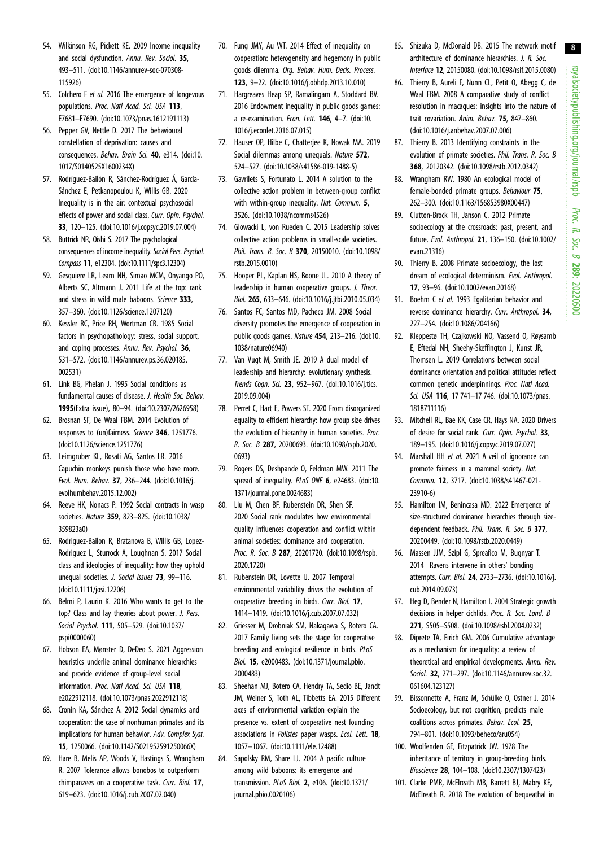- <span id="page-8-0"></span>54. Wilkinson RG, Pickett KE. 2009 Income inequality and social dysfunction. Annu. Rev. Sociol. 35, 493–511. ([doi:10.1146/annurev-soc-070308-](http://dx.doi.org/10.1146/annurev-soc-070308-115926) [115926](http://dx.doi.org/10.1146/annurev-soc-070308-115926))
- 55. Colchero F et al. 2016 The emergence of longevous populations. Proc. Natl Acad. Sci. USA 113, E7681–E7690. ([doi:10.1073/pnas.1612191113](https://doi.org/10.1073/pnas.1612191113))
- 56. Pepper GV, Nettle D. 2017 The behavioural constellation of deprivation: causes and consequences. Behav. Brain Sci. 40, e314. ([doi:10.](http://dx.doi.org/10.1017/S0140525X1600234X) [1017/S0140525X1600234X](http://dx.doi.org/10.1017/S0140525X1600234X))
- 57. Rodríguez-Bailón R, Sánchez-Rodríguez Á, García-Sánchez E, Petkanopoulou K, Willis GB. 2020 Inequality is in the air: contextual psychosocial effects of power and social class. Curr. Opin. Psychol. 33, 120–125. ([doi:10.1016/j.copsyc.2019.07.004\)](http://dx.doi.org/10.1016/j.copsyc.2019.07.004)
- 58. Buttrick NR, Oishi S. 2017 The psychological consequences of income inequality. Social Pers. Psychol. Compass 11, e12304. ([doi:10.1111/spc3.12304\)](https://doi.org/10.1111/spc3.12304)
- 59. Gesquiere LR, Learn NH, Simao MCM, Onyango PO, Alberts SC, Altmann J. 2011 Life at the top: rank and stress in wild male baboons. Science 333, 357–360. ([doi:10.1126/science.1207120\)](http://dx.doi.org/10.1126/science.1207120)
- 60. Kessler RC, Price RH, Wortman CB. 1985 Social factors in psychopathology: stress, social support, and coping processes. Annu. Rev. Psychol. 36, 531–572. ([doi:10.1146/annurev.ps.36.020185.](http://dx.doi.org/10.1146/annurev.ps.36.020185.002531) [002531](http://dx.doi.org/10.1146/annurev.ps.36.020185.002531))
- 61. Link BG, Phelan J. 1995 Social conditions as fundamental causes of disease. J. Health Soc. Behav. 1995(Extra issue), 80–94. [\(doi:10.2307/2626958](https://doi.org/10.2307/2626958))
- 62. Brosnan SF, De Waal FBM. 2014 Evolution of responses to (un)fairness. Science 346, 1251776. [\(doi:10.1126/science.1251776\)](http://dx.doi.org/10.1126/science.1251776)
- 63. Leimgruber KL, Rosati AG, Santos LR. 2016 Capuchin monkeys punish those who have more. Evol. Hum. Behav. 37, 236–244. ([doi:10.1016/j.](http://dx.doi.org/10.1016/j.evolhumbehav.2015.12.002) [evolhumbehav.2015.12.002\)](http://dx.doi.org/10.1016/j.evolhumbehav.2015.12.002)
- 64. Reeve HK, Nonacs P. 1992 Social contracts in wasp societies. Nature 359, 823–825. [\(doi:10.1038/](http://dx.doi.org/10.1038/359823a0) [359823a0\)](http://dx.doi.org/10.1038/359823a0)
- 65. Rodriguez-Bailon R, Bratanova B, Willis GB, Lopez-Rodriguez L, Sturrock A, Loughnan S. 2017 Social class and ideologies of inequality: how they uphold unequal societies. J. Social Issues 73, 99-116. [\(doi:10.1111/josi.12206\)](https://doi.org/10.1111/josi.12206)
- 66. Belmi P, Laurin K. 2016 Who wants to get to the top? Class and lay theories about power. J. Pers. Social Psychol. 111, 505–529. [\(doi:10.1037/](https://doi.org/10.1037/pspi0000060) [pspi0000060\)](https://doi.org/10.1037/pspi0000060)
- 67. Hobson EA, Mønster D, DeDeo S. 2021 Aggression heuristics underlie animal dominance hierarchies and provide evidence of group-level social information. Proc. Natl Acad. Sci. USA 118, e2022912118. ([doi:10.1073/pnas.2022912118\)](https://doi.org/10.1073/pnas.2022912118)
- 68. Cronin KA, Sánchez A. 2012 Social dynamics and cooperation: the case of nonhuman primates and its implications for human behavior. Adv. Complex Syst. 15, 1250066. ([doi:10.1142/S021952591250066X\)](https://doi.org/10.1142/S021952591250066X)
- 69. Hare B, Melis AP, Woods V, Hastings S, Wrangham R. 2007 Tolerance allows bonobos to outperform chimpanzees on a cooperative task. Curr. Biol. 17, 619–623. ([doi:10.1016/j.cub.2007.02.040\)](http://dx.doi.org/10.1016/j.cub.2007.02.040)
- 70. Fung JMY, Au WT. 2014 Effect of inequality on cooperation: heterogeneity and hegemony in public goods dilemma. Org. Behav. Hum. Decis. Process. 123, 9–22. [\(doi:10.1016/j.obhdp.2013.10.010](https://doi.org/10.1016/j.obhdp.2013.10.010))
- 71. Hargreaves Heap SP, Ramalingam A, Stoddard BV. 2016 Endowment inequality in public goods games: a re-examination. Econ. Lett. 146, 4–7. ([doi:10.](http://dx.doi.org/10.1016/j.econlet.2016.07.015) [1016/j.econlet.2016.07.015](http://dx.doi.org/10.1016/j.econlet.2016.07.015))
- 72. Hauser OP, Hilbe C, Chatterjee K, Nowak MA. 2019 Social dilemmas among unequals. Nature 572, 524–527. ([doi:10.1038/s41586-019-1488-5\)](http://dx.doi.org/10.1038/s41586-019-1488-5)
- 73. Gavrilets S, Fortunato L. 2014 A solution to the collective action problem in between-group conflict with within-group inequality. Nat. Commun. 5, 3526. [\(doi:10.1038/ncomms4526\)](http://dx.doi.org/10.1038/ncomms4526)
- 74. Glowacki L, von Rueden C. 2015 Leadership solves collective action problems in small-scale societies. Phil. Trans. R. Soc. B 370, 20150010. [\(doi:10.1098/](https://doi.org/10.1098/rstb.2015.0010) [rstb.2015.0010\)](https://doi.org/10.1098/rstb.2015.0010)
- 75. Hooper PL, Kaplan HS, Boone JL. 2010 A theory of leadership in human cooperative groups. J. Theor. Biol. 265, 633–646. [\(doi:10.1016/j.jtbi.2010.05.034\)](http://dx.doi.org/10.1016/j.jtbi.2010.05.034)
- 76. Santos FC, Santos MD, Pacheco JM. 2008 Social diversity promotes the emergence of cooperation in public goods games. Nature 454, 213–216. [\(doi:10.](http://dx.doi.org/10.1038/nature06940) [1038/nature06940](http://dx.doi.org/10.1038/nature06940))
- 77. Van Vugt M, Smith JE. 2019 A dual model of leadership and hierarchy: evolutionary synthesis. Trends Cogn. Sci. 23, 952–967. ([doi:10.1016/j.tics.](http://dx.doi.org/10.1016/j.tics.2019.09.004) [2019.09.004\)](http://dx.doi.org/10.1016/j.tics.2019.09.004)
- 78. Perret C, Hart E, Powers ST. 2020 From disorganized equality to efficient hierarchy: how group size drives the evolution of hierarchy in human societies. Proc. R. Soc. B 287, 20200693. [\(doi:10.1098/rspb.2020.](https://doi.org/10.1098/rspb.2020.0693) [0693](https://doi.org/10.1098/rspb.2020.0693))
- 79. Rogers DS, Deshpande O, Feldman MW. 2011 The spread of inequality. PLoS ONE 6, e24683. ([doi:10.](http://dx.doi.org/10.1371/journal.pone.0024683) [1371/journal.pone.0024683\)](http://dx.doi.org/10.1371/journal.pone.0024683)
- 80. Liu M, Chen BF, Rubenstein DR, Shen SF. 2020 Social rank modulates how environmental quality influences cooperation and conflict within animal societies: dominance and cooperation. Proc. R. Soc. B 287, 20201720. [\(doi:10.1098/rspb.](https://doi.org/10.1098/rspb.2020.1720) [2020.1720\)](https://doi.org/10.1098/rspb.2020.1720)
- 81. Rubenstein DR, Lovette IJ. 2007 Temporal environmental variability drives the evolution of cooperative breeding in birds. Curr. Biol. 17, 1414–1419. [\(doi:10.1016/j.cub.2007.07.032](http://dx.doi.org/10.1016/j.cub.2007.07.032))
- 82. Griesser M, Drobniak SM, Nakagawa S, Botero CA. 2017 Family living sets the stage for cooperative breeding and ecological resilience in birds. PLoS Biol. 15, e2000483. ([doi:10.1371/journal.pbio.](http://dx.doi.org/10.1371/journal.pbio.2000483) [2000483\)](http://dx.doi.org/10.1371/journal.pbio.2000483)
- 83. Sheehan MJ, Botero CA, Hendry TA, Sedio BE, Jandt JM, Weiner S, Toth AL, Tibbetts EA. 2015 Different axes of environmental variation explain the presence vs. extent of cooperative nest founding associations in *Polistes* paper wasps. Ecol. Lett. **18**. 1057–1067. [\(doi:10.1111/ele.12488\)](https://doi.org/10.1111/ele.12488)
- 84. Sapolsky RM, Share LJ. 2004 A pacific culture among wild baboons: its emergence and transmission. PLoS Biol. 2, e106. ([doi:10.1371/](http://dx.doi.org/10.1371/journal.pbio.0020106) [journal.pbio.0020106](http://dx.doi.org/10.1371/journal.pbio.0020106))
- 85. Shizuka D, McDonald DB. 2015 The network motif architecture of dominance hierarchies. J. R. Soc. Interface 12, 20150080. [\(doi:10.1098/rsif.2015.0080](https://doi.org/10.1098/rsif.2015.0080))
- 86. Thierry B, Aureli F, Nunn CL, Petit O, Abegg C, de Waal FBM. 2008 A comparative study of conflict resolution in macaques: insights into the nature of trait covariation. Anim. Behav. 75, 847–860. ([doi:10.1016/j.anbehav.2007.07.006](http://dx.doi.org/10.1016/j.anbehav.2007.07.006))
- 87. Thierry B. 2013 Identifying constraints in the evolution of primate societies. Phil. Trans. R. Soc. B 368, 20120342. ([doi:10.1098/rstb.2012.0342\)](https://doi.org/10.1098/rstb.2012.0342)
- 88. Wrangham RW. 1980 An ecological model of female-bonded primate groups. Behaviour 75, 262–300. [\(doi:10.1163/156853980X00447\)](http://dx.doi.org/10.1163/156853980X00447)
- 89. Clutton-Brock TH, Janson C. 2012 Primate socioecology at the crossroads: past, present, and future. Evol. Anthropol. 21, 136–150. [\(doi:10.1002/](http://dx.doi.org/10.1002/evan.21316) [evan.21316](http://dx.doi.org/10.1002/evan.21316))
- 90. Thierry B. 2008 Primate socioecology, the lost dream of ecological determinism. Evol. Anthropol. 17, 93–96. ([doi:10.1002/evan.20168\)](http://dx.doi.org/10.1002/evan.20168)
- 91. Boehm C et al. 1993 Egalitarian behavior and reverse dominance hierarchy. Curr. Anthropol. 34, 227–254. [\(doi:10.1086/204166](https://doi.org/10.1086/204166))
- 92. Kleppestø TH, Czajkowski NO, Vassend O, Røysamb E, Eftedal NH, Sheehy-Skeffington J, Kunst JR, Thomsen L. 2019 Correlations between social dominance orientation and political attitudes reflect common genetic underpinnings. Proc. Natl Acad. Sci. USA 116, 17 741-17 746. ([doi:10.1073/pnas.](https://doi.org/10.1073/pnas.1818711116) [1818711116](https://doi.org/10.1073/pnas.1818711116))
- 93. Mitchell RL, Bae KK, Case CR, Hays NA. 2020 Drivers of desire for social rank. Curr. Opin. Psychol. 33, 189–195. [\(doi:10.1016/j.copsyc.2019.07.027](http://dx.doi.org/10.1016/j.copsyc.2019.07.027))
- 94. Marshall HH et al. 2021 A veil of ignorance can promote fairness in a mammal society. Nat. Commun. 12, 3717. ([doi:10.1038/s41467-021-](https://doi.org/10.1038/s41467-021-23910-6) [23910-6](https://doi.org/10.1038/s41467-021-23910-6))
- 95. Hamilton IM, Benincasa MD. 2022 Emergence of size-structured dominance hierarchies through sizedependent feedback. Phil. Trans. R. Soc. B 377. 20200449. ([doi:10.1098/rstb.2020.0449\)](https://doi.org/10.1098/rstb.2020.0449)
- 96. Massen JJM, Szipl G, Spreafico M, Bugnyar T. 2014 Ravens intervene in others' bonding attempts. Curr. Biol. 24, 2733–2736. ([doi:10.1016/j.](https://doi.org/10.1016/j.cub.2014.09.073) [cub.2014.09.073\)](https://doi.org/10.1016/j.cub.2014.09.073)
- 97. Heg D, Bender N, Hamilton I. 2004 Strategic growth decisions in helper cichlids. Proc. R. Soc. Lond. B 271, S505–S508. ([doi:10.1098/rsbl.2004.0232\)](https://doi.org/10.1098/rsbl.2004.0232)
- 98. Diprete TA, Eirich GM. 2006 Cumulative advantage as a mechanism for inequality: a review of theoretical and empirical developments. Annu. Rev. Sociol. 32, 271–297. ([doi:10.1146/annurev.soc.32.](http://dx.doi.org/10.1146/annurev.soc.32.061604.123127) [061604.123127\)](http://dx.doi.org/10.1146/annurev.soc.32.061604.123127)
- 99. Bissonnette A, Franz M, Schülke O, Ostner J. 2014 Socioecology, but not cognition, predicts male coalitions across primates. Behav. Ecol. 25, 794–801. [\(doi:10.1093/beheco/aru054\)](http://dx.doi.org/10.1093/beheco/aru054)
- 100. Woolfenden GE, Fitzpatrick JW. 1978 The inheritance of territory in group-breeding birds. Bioscience 28, 104–108. ([doi:10.2307/1307423\)](http://dx.doi.org/10.2307/1307423)
- 101. Clarke PMR, McElreath MB, Barrett BJ, Mabry KE, McElreath R. 2018 The evolution of bequeathal in